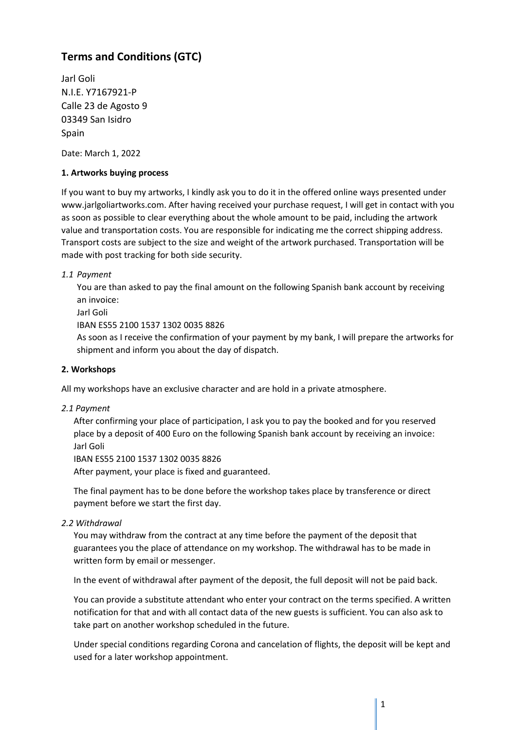# **Terms and Conditions (GTC)**

Jarl Goli N.I.E. Y7167921-P Calle 23 de Agosto 9 03349 San Isidro Spain

Date: March 1, 2022

## **1. Artworks buying process**

If you want to buy my artworks, I kindly ask you to do it in the offered online ways presented under www.jarlgoliartworks.com. After having received your purchase request, I will get in contact with you as soon as possible to clear everything about the whole amount to be paid, including the artwork value and transportation costs. You are responsible for indicating me the correct shipping address. Transport costs are subject to the size and weight of the artwork purchased. Transportation will be made with post tracking for both side security.

## *1.1 Payment*

You are than asked to pay the final amount on the following Spanish bank account by receiving an invoice:

Jarl Goli

IBAN ES55 2100 1537 1302 0035 8826

As soon as I receive the confirmation of your payment by my bank, I will prepare the artworks for shipment and inform you about the day of dispatch.

#### **2. Workshops**

All my workshops have an exclusive character and are hold in a private atmosphere.

#### *2.1 Payment*

After confirming your place of participation, I ask you to pay the booked and for you reserved place by a deposit of 400 Euro on the following Spanish bank account by receiving an invoice: Jarl Goli

IBAN ES55 2100 1537 1302 0035 8826

After payment, your place is fixed and guaranteed.

The final payment has to be done before the workshop takes place by transference or direct payment before we start the first day.

#### *2.2 Withdrawal*

You may withdraw from the contract at any time before the payment of the deposit that guarantees you the place of attendance on my workshop. The withdrawal has to be made in written form by email or messenger.

In the event of withdrawal after payment of the deposit, the full deposit will not be paid back.

You can provide a substitute attendant who enter your contract on the terms specified. A written notification for that and with all contact data of the new guests is sufficient. You can also ask to take part on another workshop scheduled in the future.

Under special conditions regarding Corona and cancelation of flights, the deposit will be kept and used for a later workshop appointment.